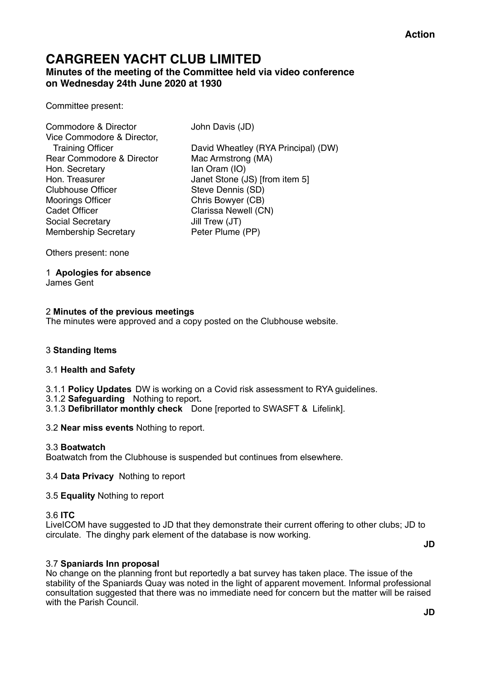## **CARGREEN YACHT CLUB LIMITED Minutes of the meeting of the Committee held via video conference on Wednesday 24th June 2020 at 1930**

Committee present:

Commodore & Director John Davis (JD) Vice Commodore & Director, Rear Commodore & Director Mac Armstrong (MA) Hon. Secretary Ian Oram (IO) Clubhouse Officer Steve Dennis (SD) Moorings Officer Chris Bowyer (CB) Cadet Officer Clarissa Newell (CN) Social Secretary Jill Trew (JT) Membership Secretary Peter Plume (PP)

 Training Officer David Wheatley (RYA Principal) (DW) Hon. Treasurer Janet Stone (JS) [from item 5]

Others present: none

1 **Apologies for absence**  James Gent

## 2 **Minutes of the previous meetings**

The minutes were approved and a copy posted on the Clubhouse website.

## 3 **Standing Items**

## 3.1 **Health and Safety**

3.1.1 **Policy Updates** DW is working on a Covid risk assessment to RYA guidelines.

- 3.1.2 **Safeguarding** Nothing to report**.**
- 3.1.3 **Defibrillator monthly check** Done [reported to SWASFT & Lifelink].

3.2 **Near miss events** Nothing to report.

## 3.3 **Boatwatch**

Boatwatch from the Clubhouse is suspended but continues from elsewhere.

## 3.4 **Data Privacy** Nothing to report

## 3.5 **Equality** Nothing to report

## 3.6 **ITC**

LiveICOM have suggested to JD that they demonstrate their current offering to other clubs; JD to circulate. The dinghy park element of the database is now working.

**JD** 

## 3.7 **Spaniards Inn proposal**

No change on the planning front but reportedly a bat survey has taken place. The issue of the stability of the Spaniards Quay was noted in the light of apparent movement. Informal professional consultation suggested that there was no immediate need for concern but the matter will be raised with the Parish Council.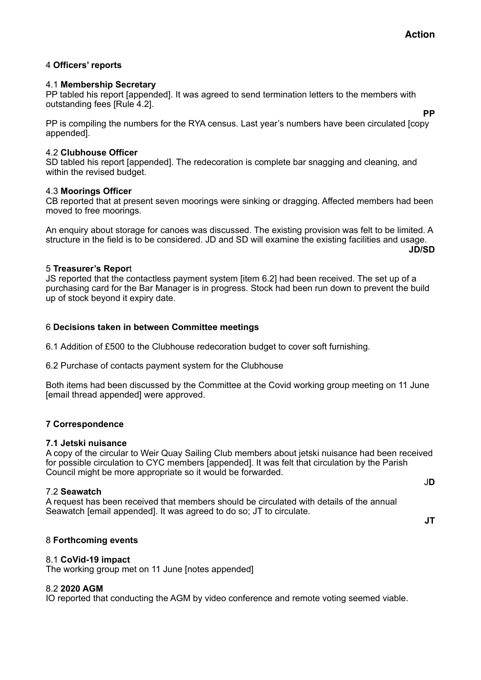**PP**

## 4 **Officers' reports**

## 4.1 **Membership Secretary**

PP tabled his report [appended]. It was agreed to send termination letters to the members with outstanding fees [Rule 4.2].

PP is compiling the numbers for the RYA census. Last year's numbers have been circulated [copy appended].

## 4.2 **Clubhouse Officer**

SD tabled his report [appended]. The redecoration is complete bar snagging and cleaning, and within the revised budget.

## 4.3 **Moorings Officer**

CB reported that at present seven moorings were sinking or dragging. Affected members had been moved to free moorings.

An enquiry about storage for canoes was discussed. The existing provision was felt to be limited. A structure in the field is to be considered. JD and SD will examine the existing facilities and usage.

#### **JD/SD**

## 5 **Treasurer's Repor**t

JS reported that the contactless payment system [item 6.2] had been received. The set up of a purchasing card for the Bar Manager is in progress. Stock had been run down to prevent the build up of stock beyond it expiry date.

## 6 **Decisions taken in between Committee meetings**

6.1 Addition of £500 to the Clubhouse redecoration budget to cover soft furnishing.

6.2 Purchase of contacts payment system for the Clubhouse

Both items had been discussed by the Committee at the Covid working group meeting on 11 June [email thread appended] were approved.

## **7 Correspondence**

#### **7.1 Jetski nuisance**

A copy of the circular to Weir Quay Sailing Club members about jetski nuisance had been received for possible circulation to CYC members [appended]. It was felt that circulation by the Parish Council might be more appropriate so it would be forwarded.

#### 7.2 **Seawatch**

J**D**

A request has been received that members should be circulated with details of the annual Seawatch [email appended]. It was agreed to do so; JT to circulate.

**JT** 

## 8 **Forthcoming events**

## 8.1 **CoVid-19 impact**

The working group met on 11 June [notes appended]

## 8.2 **2020 AGM**

IO reported that conducting the AGM by video conference and remote voting seemed viable.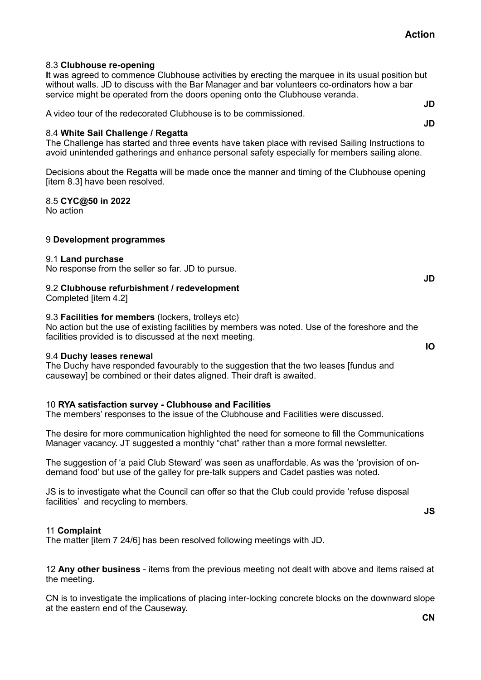8.3 **Clubhouse re-opening** 

**I**t was agreed to commence Clubhouse activities by erecting the marquee in its usual position but without walls. JD to discuss with the Bar Manager and bar volunteers co-ordinators how a bar service might be operated from the doors opening onto the Clubhouse veranda.

A video tour of the redecorated Clubhouse is to be commissioned.

## 8.4 **White Sail Challenge / Regatta**

The Challenge has started and three events have taken place with revised Sailing Instructions to avoid unintended gatherings and enhance personal safety especially for members sailing alone.

Decisions about the Regatta will be made once the manner and timing of the Clubhouse opening [item 8.3] have been resolved.

8.5 **CYC@50 in 2022** 

No action

## 9 **Development programmes**

#### 9.1 **Land purchase**

No response from the seller so far. JD to pursue.

## 9.2 **Clubhouse refurbishment / redevelopment**

Completed [item 4.2]

## 9.3 **Facilities for members** (lockers, trolleys etc)

No action but the use of existing facilities by members was noted. Use of the foreshore and the facilities provided is to discussed at the next meeting.

#### 9.4 **Duchy leases renewal**

The Duchy have responded favourably to the suggestion that the two leases [fundus and causeway] be combined or their dates aligned. Their draft is awaited.

## 10 **RYA satisfaction survey - Clubhouse and Facilities**

The members' responses to the issue of the Clubhouse and Facilities were discussed.

The desire for more communication highlighted the need for someone to fill the Communications Manager vacancy. JT suggested a monthly "chat" rather than a more formal newsletter.

The suggestion of 'a paid Club Steward' was seen as unaffordable. As was the 'provision of ondemand food' but use of the galley for pre-talk suppers and Cadet pasties was noted.

JS is to investigate what the Council can offer so that the Club could provide 'refuse disposal facilities' and recycling to members.

**JS** 

#### 11 **Complaint**

The matter [item 7 24/6] has been resolved following meetings with JD.

12 **Any other business** - items from the previous meeting not dealt with above and items raised at the meeting.

CN is to investigate the implications of placing inter-locking concrete blocks on the downward slope at the eastern end of the Causeway.

**JD** 

**IO** 

**JD JD**